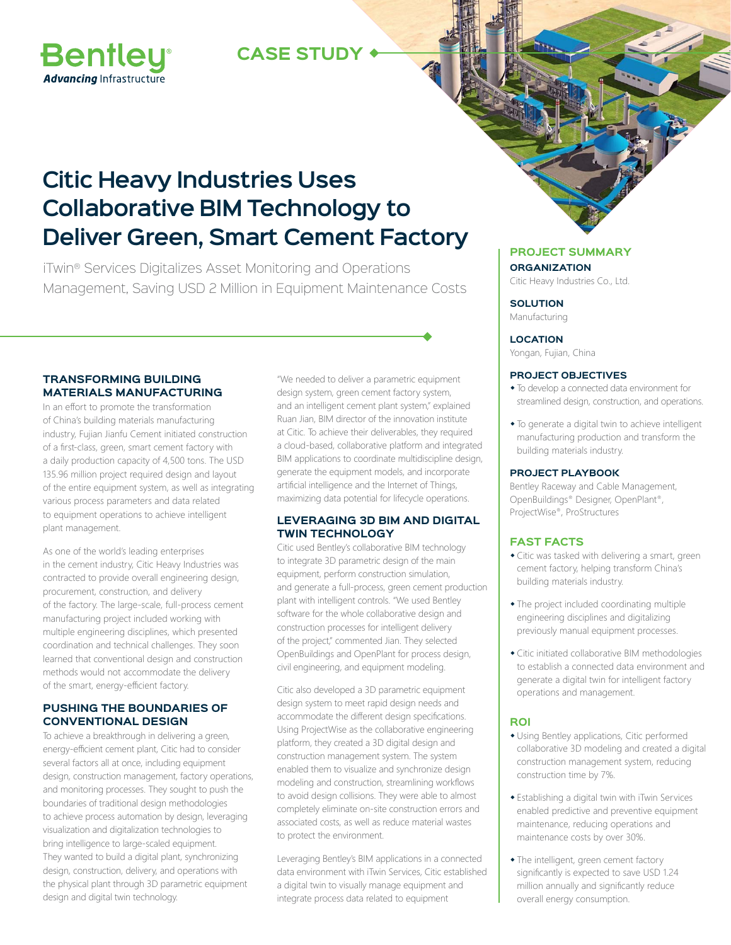## **CASE STUDY**



# **Citic Heavy Industries Uses Collaborative BIM Technology to Deliver Green, Smart Cement Factory**

iTwin® Services Digitalizes Asset Monitoring and Operations Management, Saving USD 2 Million in Equipment Maintenance Costs

### **TRANSFORMING BUILDING MATERIALS MANUFACTURING**

In an effort to promote the transformation of China's building materials manufacturing industry, Fujian Jianfu Cement initiated construction of a first-class, green, smart cement factory with a daily production capacity of 4,500 tons. The USD 135.96 million project required design and layout of the entire equipment system, as well as integrating various process parameters and data related to equipment operations to achieve intelligent plant management.

As one of the world's leading enterprises in the cement industry, Citic Heavy Industries was contracted to provide overall engineering design, procurement, construction, and delivery of the factory. The large-scale, full-process cement manufacturing project included working with multiple engineering disciplines, which presented coordination and technical challenges. They soon learned that conventional design and construction methods would not accommodate the delivery of the smart, energy-efficient factory.

#### **PUSHING THE BOUNDARIES OF CONVENTIONAL DESIGN**

To achieve a breakthrough in delivering a green, energy-efficient cement plant, Citic had to consider several factors all at once, including equipment design, construction management, factory operations, and monitoring processes. They sought to push the boundaries of traditional design methodologies to achieve process automation by design, leveraging visualization and digitalization technologies to bring intelligence to large-scaled equipment. They wanted to build a digital plant, synchronizing design, construction, delivery, and operations with the physical plant through 3D parametric equipment design and digital twin technology.

"We needed to deliver a parametric equipment design system, green cement factory system, and an intelligent cement plant system," explained Ruan Jian, BIM director of the innovation institute at Citic. To achieve their deliverables, they required a cloud-based, collaborative platform and integrated BIM applications to coordinate multidiscipline design, generate the equipment models, and incorporate artificial intelligence and the Internet of Things, maximizing data potential for lifecycle operations.

#### **LEVERAGING 3D BIM AND DIGITAL TWIN TECHNOLOGY**

Citic used Bentley's collaborative BIM technology to integrate 3D parametric design of the main equipment, perform construction simulation, and generate a full-process, green cement production plant with intelligent controls. "We used Bentley software for the whole collaborative design and construction processes for intelligent delivery of the project," commented Jian. They selected OpenBuildings and OpenPlant for process design, civil engineering, and equipment modeling.

Citic also developed a 3D parametric equipment design system to meet rapid design needs and accommodate the different design specifications. Using ProjectWise as the collaborative engineering platform, they created a 3D digital design and construction management system. The system enabled them to visualize and synchronize design modeling and construction, streamlining workflows to avoid design collisions. They were able to almost completely eliminate on-site construction errors and associated costs, as well as reduce material wastes to protect the environment.

Leveraging Bentley's BIM applications in a connected data environment with iTwin Services, Citic established a digital twin to visually manage equipment and integrate process data related to equipment

### **PROJECT SUMMARY ORGANIZATION**

Citic Heavy Industries Co., Ltd.

**SOLUTION** Manufacturing

**LOCATION**

Yongan, Fujian, China

#### **PROJECT OBJECTIVES**

- To develop a connected data environment for streamlined design, construction, and operations.
- To generate a digital twin to achieve intelligent manufacturing production and transform the building materials industry.

#### **PROJECT PLAYBOOK**

Bentley Raceway and Cable Management, OpenBuildings® Designer, OpenPlant®, ProjectWise®, ProStructures

#### **FAST FACTS**

- Citic was tasked with delivering a smart, green cement factory, helping transform China's building materials industry.
- The project included coordinating multiple engineering disciplines and digitalizing previously manual equipment processes.
- Citic initiated collaborative BIM methodologies to establish a connected data environment and generate a digital twin for intelligent factory operations and management.

#### **ROI**

- Using Bentley applications, Citic performed collaborative 3D modeling and created a digital construction management system, reducing construction time by 7%.
- Establishing a digital twin with iTwin Services enabled predictive and preventive equipment maintenance, reducing operations and maintenance costs by over 30%.
- The intelligent, green cement factory significantly is expected to save USD 1.24 million annually and significantly reduce overall energy consumption.